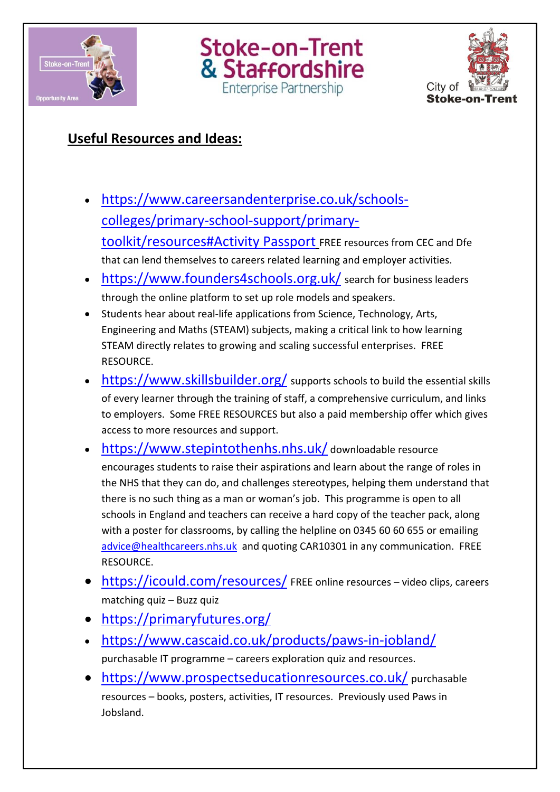





## **Useful Resources and Ideas:**

- [https://www.careersandenterprise.co.uk/schools](https://www.careersandenterprise.co.uk/schools-colleges/primary-school-support/primary-toolkit/resources#Activity Passport)[colleges/primary-school-support/primary](https://www.careersandenterprise.co.uk/schools-colleges/primary-school-support/primary-toolkit/resources#Activity Passport)[toolkit/resources#Activity Passport](https://www.careersandenterprise.co.uk/schools-colleges/primary-school-support/primary-toolkit/resources#Activity Passport) FREE resources from CEC and Dfe that can lend themselves to careers related learning and employer activities.
- <https://www.founders4schools.org.uk/> search for business leaders through the online platform to set up role models and speakers.
- Students hear about real-life applications from Science, Technology, Arts, Engineering and Maths (STEAM) subjects, making a critical link to how learning STEAM directly relates to growing and scaling successful enterprises. FREE RESOURCE.
- <https://www.skillsbuilder.org/> supports schools to build the essential skills of every learner through the training of staff, a comprehensive curriculum, and links to employers. Some FREE RESOURCES but also a paid membership offer which gives access to more resources and support.
- <https://www.stepintothenhs.nhs.uk/> downloadable resource encourages students to raise their aspirations and learn about the range of roles in the NHS that they can do, and challenges stereotypes, helping them understand that there is no such thing as a man or woman's job. This programme is open to all schools in England and teachers can receive a hard copy of the teacher pack, along with a poster for classrooms, by calling the helpline on 0345 60 60 655 or emailing [advice@healthcareers.nhs.uk](mailto:advice@healthcareers.nhs.uk) and quoting CAR10301 in any communication. FREE RESOURCE.
- <https://icould.com/resources/> FREE online resources video clips, careers matching quiz – Buzz quiz
- <https://primaryfutures.org/>
- <https://www.cascaid.co.uk/products/paws-in-jobland/> purchasable IT programme – careers exploration quiz and resources.
- <https://www.prospectseducationresources.co.uk/> purchasable resources – books, posters, activities, IT resources. Previously used Paws in Jobsland.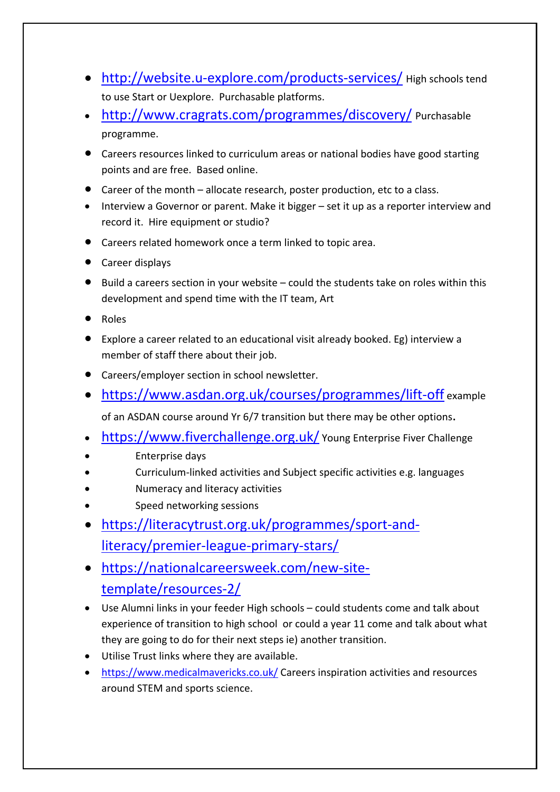- <http://website.u-explore.com/products-services/> High schools tend to use Start or Uexplore. Purchasable platforms.
- <http://www.cragrats.com/programmes/discovery/> Purchasable programme.
- Careers resources linked to curriculum areas or national bodies have good starting points and are free. Based online.
- Career of the month allocate research, poster production, etc to a class.
- Interview a Governor or parent. Make it bigger set it up as a reporter interview and record it. Hire equipment or studio?
- Careers related homework once a term linked to topic area.
- Career displays
- $\bullet$  Build a careers section in your website could the students take on roles within this development and spend time with the IT team, Art
- Roles
- Explore a career related to an educational visit already booked. Eg) interview a member of staff there about their job.
- Careers/employer section in school newsletter.
- <https://www.asdan.org.uk/courses/programmes/lift-off> example

of an ASDAN course around Yr 6/7 transition but there may be other options.

- <https://www.fiverchallenge.org.uk/> Young Enterprise Fiver Challenge
- Enterprise days
- Curriculum-linked activities and Subject specific activities e.g. languages
- Numeracy and literacy activities
- Speed networking sessions
- [https://literacytrust.org.uk/programmes/sport-and](https://literacytrust.org.uk/programmes/sport-and-literacy/premier-league-primary-stars/)[literacy/premier-league-primary-stars/](https://literacytrust.org.uk/programmes/sport-and-literacy/premier-league-primary-stars/)
- [https://nationalcareersweek.com/new-site](https://nationalcareersweek.com/new-site-template/resources-2/)[template/resources-2/](https://nationalcareersweek.com/new-site-template/resources-2/)
- Use Alumni links in your feeder High schools could students come and talk about experience of transition to high school or could a year 11 come and talk about what they are going to do for their next steps ie) another transition.
- Utilise Trust links where they are available.
- <https://www.medicalmavericks.co.uk/> Careers inspiration activities and resources around STEM and sports science.